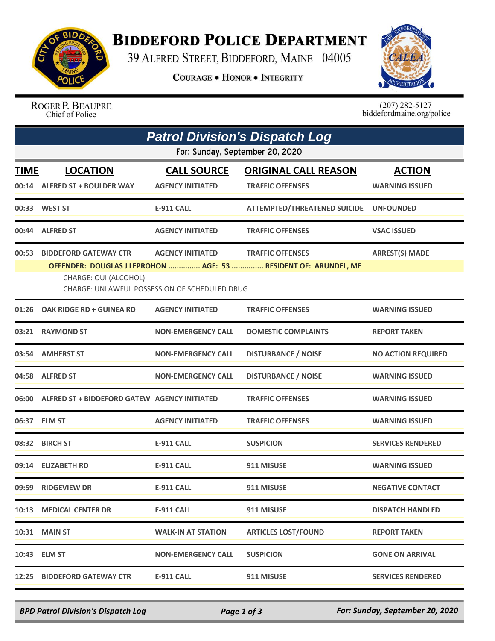

## **BIDDEFORD POLICE DEPARTMENT**

39 ALFRED STREET, BIDDEFORD, MAINE 04005

**COURAGE . HONOR . INTEGRITY** 



ROGER P. BEAUPRE<br>Chief of Police

 $(207)$  282-5127<br>biddefordmaine.org/police

|             | <b>Patrol Division's Dispatch Log</b>                                                                                                                                                                                                                           |                                               |                                                        |                                        |  |  |  |  |
|-------------|-----------------------------------------------------------------------------------------------------------------------------------------------------------------------------------------------------------------------------------------------------------------|-----------------------------------------------|--------------------------------------------------------|----------------------------------------|--|--|--|--|
|             | For: Sunday, September 20, 2020                                                                                                                                                                                                                                 |                                               |                                                        |                                        |  |  |  |  |
| <b>TIME</b> | <b>LOCATION</b><br>00:14 ALFRED ST + BOULDER WAY                                                                                                                                                                                                                | <b>CALL SOURCE</b><br><b>AGENCY INITIATED</b> | <b>ORIGINAL CALL REASON</b><br><b>TRAFFIC OFFENSES</b> | <b>ACTION</b><br><b>WARNING ISSUED</b> |  |  |  |  |
|             | 00:33 WEST ST                                                                                                                                                                                                                                                   | <b>E-911 CALL</b>                             | <b>ATTEMPTED/THREATENED SUICIDE</b>                    | <b>UNFOUNDED</b>                       |  |  |  |  |
|             | 00:44 ALFRED ST                                                                                                                                                                                                                                                 | <b>AGENCY INITIATED</b>                       | <b>TRAFFIC OFFENSES</b>                                | <b>VSAC ISSUED</b>                     |  |  |  |  |
| 00:53       | <b>ARREST(S) MADE</b><br><b>BIDDEFORD GATEWAY CTR</b><br><b>AGENCY INITIATED</b><br><b>TRAFFIC OFFENSES</b><br>OFFENDER: DOUGLAS J LEPROHON  AGE: 53  RESIDENT OF: ARUNDEL, ME<br>CHARGE: OUI (ALCOHOL)<br><b>CHARGE: UNLAWFUL POSSESSION OF SCHEDULED DRUG</b> |                                               |                                                        |                                        |  |  |  |  |
| 01:26       | OAK RIDGE RD + GUINEA RD                                                                                                                                                                                                                                        | <b>AGENCY INITIATED</b>                       | <b>TRAFFIC OFFENSES</b>                                | <b>WARNING ISSUED</b>                  |  |  |  |  |
|             | 03:21 RAYMOND ST                                                                                                                                                                                                                                                | <b>NON-EMERGENCY CALL</b>                     | <b>DOMESTIC COMPLAINTS</b>                             | <b>REPORT TAKEN</b>                    |  |  |  |  |
| 03:54       | <b>AMHERST ST</b>                                                                                                                                                                                                                                               | <b>NON-EMERGENCY CALL</b>                     | <b>DISTURBANCE / NOISE</b>                             | <b>NO ACTION REQUIRED</b>              |  |  |  |  |
|             | 04:58 ALFRED ST                                                                                                                                                                                                                                                 | <b>NON-EMERGENCY CALL</b>                     | <b>DISTURBANCE / NOISE</b>                             | <b>WARNING ISSUED</b>                  |  |  |  |  |
| 06:00       | ALFRED ST + BIDDEFORD GATEW AGENCY INITIATED                                                                                                                                                                                                                    |                                               | <b>TRAFFIC OFFENSES</b>                                | <b>WARNING ISSUED</b>                  |  |  |  |  |
|             | 06:37 ELM ST                                                                                                                                                                                                                                                    | <b>AGENCY INITIATED</b>                       | <b>TRAFFIC OFFENSES</b>                                | <b>WARNING ISSUED</b>                  |  |  |  |  |
|             | 08:32 BIRCH ST                                                                                                                                                                                                                                                  | <b>E-911 CALL</b>                             | <b>SUSPICION</b>                                       | <b>SERVICES RENDERED</b>               |  |  |  |  |
| 09:14       | <b>ELIZABETH RD</b>                                                                                                                                                                                                                                             | <b>E-911 CALL</b>                             | 911 MISUSE                                             | <b>WARNING ISSUED</b>                  |  |  |  |  |
|             | 09:59 RIDGEVIEW DR                                                                                                                                                                                                                                              | <b>E-911 CALL</b>                             | 911 MISUSE                                             | <b>NEGATIVE CONTACT</b>                |  |  |  |  |
|             | 10:13 MEDICAL CENTER DR                                                                                                                                                                                                                                         | <b>E-911 CALL</b>                             | 911 MISUSE                                             | <b>DISPATCH HANDLED</b>                |  |  |  |  |
|             | <b>10:31 MAIN ST</b>                                                                                                                                                                                                                                            | <b>WALK-IN AT STATION</b>                     | <b>ARTICLES LOST/FOUND</b>                             | <b>REPORT TAKEN</b>                    |  |  |  |  |
|             | 10:43 ELM ST                                                                                                                                                                                                                                                    | <b>NON-EMERGENCY CALL</b>                     | <b>SUSPICION</b>                                       | <b>GONE ON ARRIVAL</b>                 |  |  |  |  |
|             | 12:25 BIDDEFORD GATEWAY CTR                                                                                                                                                                                                                                     | <b>E-911 CALL</b>                             | 911 MISUSE                                             | <b>SERVICES RENDERED</b>               |  |  |  |  |

*BPD Patrol Division's Dispatch Log Page 1 of 3 For: Sunday, September 20, 2020*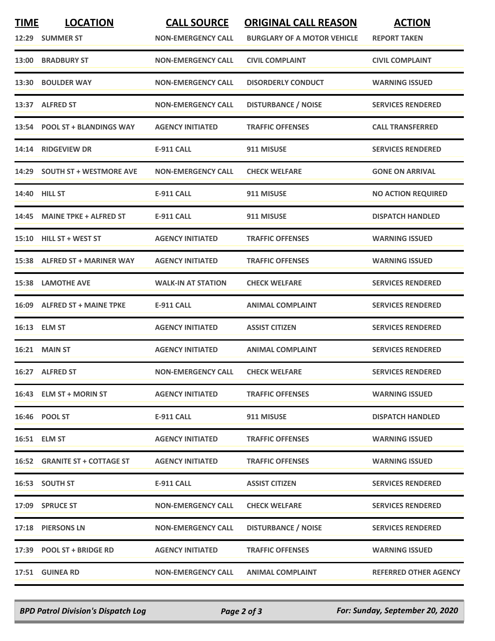| <b>TIME</b> | <b>LOCATION</b><br>12:29 SUMMER ST | <b>CALL SOURCE</b><br><b>NON-EMERGENCY CALL</b> | <b>ORIGINAL CALL REASON</b><br><b>BURGLARY OF A MOTOR VEHICLE</b> | <b>ACTION</b><br><b>REPORT TAKEN</b> |
|-------------|------------------------------------|-------------------------------------------------|-------------------------------------------------------------------|--------------------------------------|
|             | 13:00 BRADBURY ST                  | <b>NON-EMERGENCY CALL</b>                       | <b>CIVIL COMPLAINT</b>                                            | <b>CIVIL COMPLAINT</b>               |
|             | 13:30 BOULDER WAY                  | <b>NON-EMERGENCY CALL</b>                       | <b>DISORDERLY CONDUCT</b>                                         | <b>WARNING ISSUED</b>                |
|             | 13:37 ALFRED ST                    | <b>NON-EMERGENCY CALL</b>                       | <b>DISTURBANCE / NOISE</b>                                        | <b>SERVICES RENDERED</b>             |
|             | 13:54 POOL ST + BLANDINGS WAY      | <b>AGENCY INITIATED</b>                         | <b>TRAFFIC OFFENSES</b>                                           | <b>CALL TRANSFERRED</b>              |
|             | 14:14 RIDGEVIEW DR                 | <b>E-911 CALL</b>                               | 911 MISUSE                                                        | <b>SERVICES RENDERED</b>             |
|             | 14:29 SOUTH ST + WESTMORE AVE      | <b>NON-EMERGENCY CALL</b>                       | <b>CHECK WELFARE</b>                                              | <b>GONE ON ARRIVAL</b>               |
|             | 14:40 HILL ST                      | E-911 CALL                                      | 911 MISUSE                                                        | <b>NO ACTION REQUIRED</b>            |
|             | 14:45 MAINE TPKE + ALFRED ST       | <b>E-911 CALL</b>                               | 911 MISUSE                                                        | <b>DISPATCH HANDLED</b>              |
|             | 15:10 HILL ST + WEST ST            | <b>AGENCY INITIATED</b>                         | <b>TRAFFIC OFFENSES</b>                                           | <b>WARNING ISSUED</b>                |
|             | 15:38 ALFRED ST + MARINER WAY      | <b>AGENCY INITIATED</b>                         | <b>TRAFFIC OFFENSES</b>                                           | <b>WARNING ISSUED</b>                |
|             | <b>15:38 LAMOTHE AVE</b>           | <b>WALK-IN AT STATION</b>                       | <b>CHECK WELFARE</b>                                              | <b>SERVICES RENDERED</b>             |
|             | 16:09 ALFRED ST + MAINE TPKE       | <b>E-911 CALL</b>                               | <b>ANIMAL COMPLAINT</b>                                           | <b>SERVICES RENDERED</b>             |
|             | 16:13 ELM ST                       | <b>AGENCY INITIATED</b>                         | <b>ASSIST CITIZEN</b>                                             | <b>SERVICES RENDERED</b>             |
|             | 16:21 MAIN ST                      | <b>AGENCY INITIATED</b>                         | <b>ANIMAL COMPLAINT</b>                                           | <b>SERVICES RENDERED</b>             |
|             | 16:27 ALFRED ST                    | <b>NON-EMERGENCY CALL</b>                       | <b>CHECK WELFARE</b>                                              | <b>SERVICES RENDERED</b>             |
|             | 16:43 ELM ST + MORIN ST            | <b>AGENCY INITIATED</b>                         | <b>TRAFFIC OFFENSES</b>                                           | <b>WARNING ISSUED</b>                |
|             | 16:46 POOL ST                      | E-911 CALL                                      | 911 MISUSE                                                        | <b>DISPATCH HANDLED</b>              |
|             | 16:51 ELM ST                       | <b>AGENCY INITIATED</b>                         | <b>TRAFFIC OFFENSES</b>                                           | <b>WARNING ISSUED</b>                |
|             | 16:52 GRANITE ST + COTTAGE ST      | <b>AGENCY INITIATED</b>                         | <b>TRAFFIC OFFENSES</b>                                           | <b>WARNING ISSUED</b>                |
|             | 16:53 SOUTH ST                     | <b>E-911 CALL</b>                               | <b>ASSIST CITIZEN</b>                                             | <b>SERVICES RENDERED</b>             |
|             | 17:09 SPRUCE ST                    | <b>NON-EMERGENCY CALL</b>                       | <b>CHECK WELFARE</b>                                              | <b>SERVICES RENDERED</b>             |
|             | 17:18 PIERSONS LN                  | <b>NON-EMERGENCY CALL</b>                       | <b>DISTURBANCE / NOISE</b>                                        | <b>SERVICES RENDERED</b>             |
|             | 17:39 POOL ST + BRIDGE RD          | <b>AGENCY INITIATED</b>                         | <b>TRAFFIC OFFENSES</b>                                           | <b>WARNING ISSUED</b>                |
|             | <b>17:51 GUINEA RD</b>             | <b>NON-EMERGENCY CALL</b>                       | <b>ANIMAL COMPLAINT</b>                                           | <b>REFERRED OTHER AGENCY</b>         |

*BPD Patrol Division's Dispatch Log Page 2 of 3 For: Sunday, September 20, 2020*